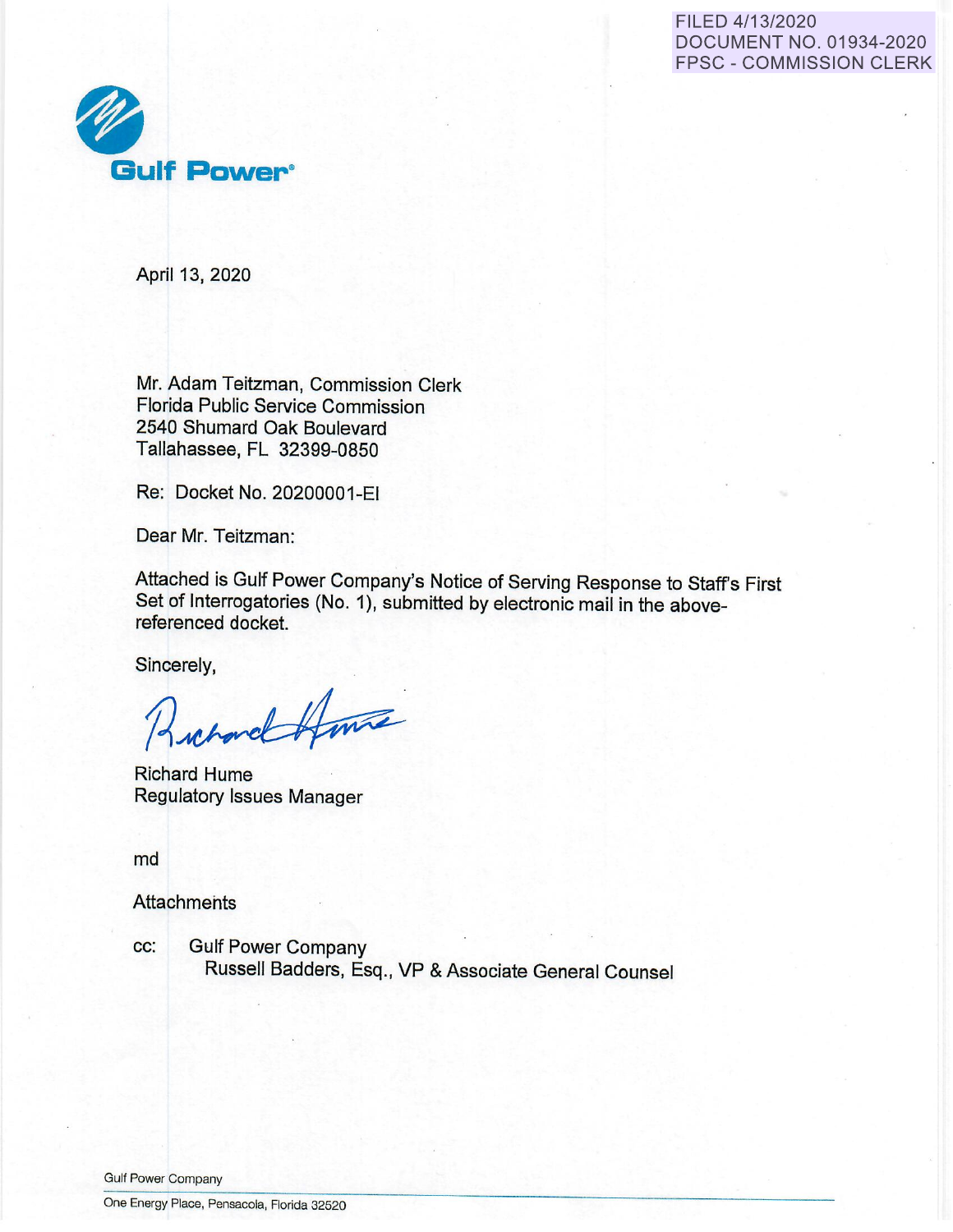# FILED 4/13/2020 DOCUMENT NO. 01934-2020 FPSC - COMMISSION CLERK



April 13, 2020

Mr. Adam Teitzman, Commission Clerk Florida Public Service Commission 2540 Shumard Oak Boulevard Tallahassee, FL 32399-0850

Re: Docket No. 20200001-EI

Dear Mr. Teitzman:

Attached is Gulf Power Company's Notice of Serving Response to Staff's First Set of Interrogatories (No. 1), submitted by electronic mail in the abovereferenced docket.

Sincerely,

whord Hunte

Richard Hume Regulatory Issues Manager

md

**Attachments** 

cc: Gulf Power Company Russell Badders, Esq., VP & Associate General Counsel

Gulf Power Company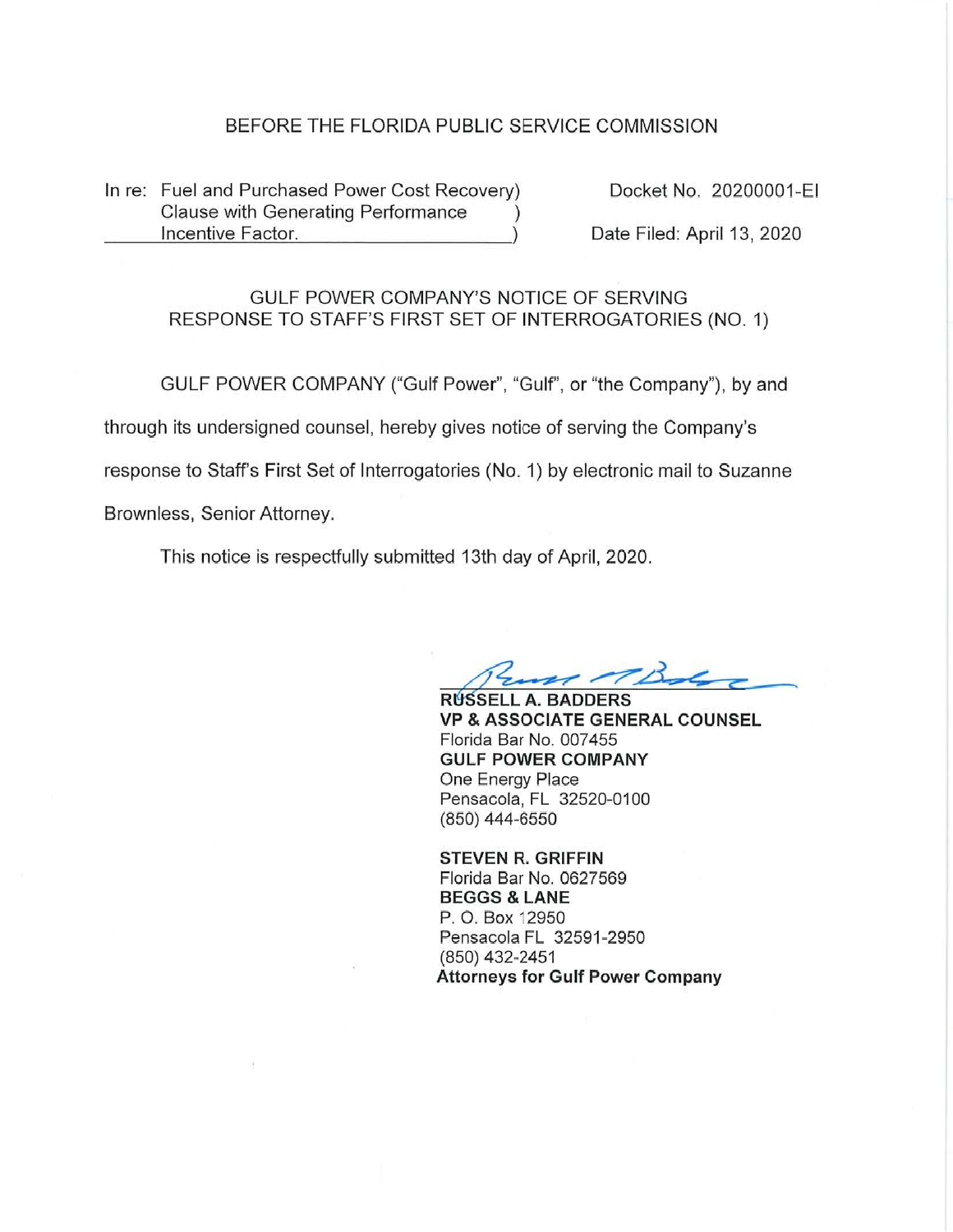# BEFORE THE FLORIDA PUBLIC SERVICE COMMISSION

In re: Fuel and Purchased Power Cost Recovery) Clause with Generating Performance ) Incentive Factor. )

Docket No. 20200001 -EI

Date Filed: April 13, 2020

# GULF POWER COMPANY'S NOTICE OF SERVING RESPONSE TO STAFF'S FIRST SET OF INTERROGATORIES (NO. 1)

GULF POWER COMPANY ("Gulf Power", "Gulf'\ or "the Company"), by and through its undersigned counsel, hereby gives notice of serving the Company's response to Staff's First Set of Interrogatories (No. 1) by electronic mail to Suzanne Brownless, Senior Attorney.

This notice is respectfully submitted 13th day of April, 2020.

RUSSELL A. BADDERS<sup></sup>

**VP** & **ASSOCIATE GENERAL COUNSEL**  Florida Bar No. 007455 **GULF POWER COMPANY**  One Energy Place Pensacola, FL 32520-0100 (850) 444-6550

**STEVEN R. GRIFFIN**  Florida Bar No. 0627569 **BEGGS** & **LANE**  P. O. Box 12950 Pensacola FL 32591-2950 (850) 432-2451 **Attorneys for Gulf Power Company**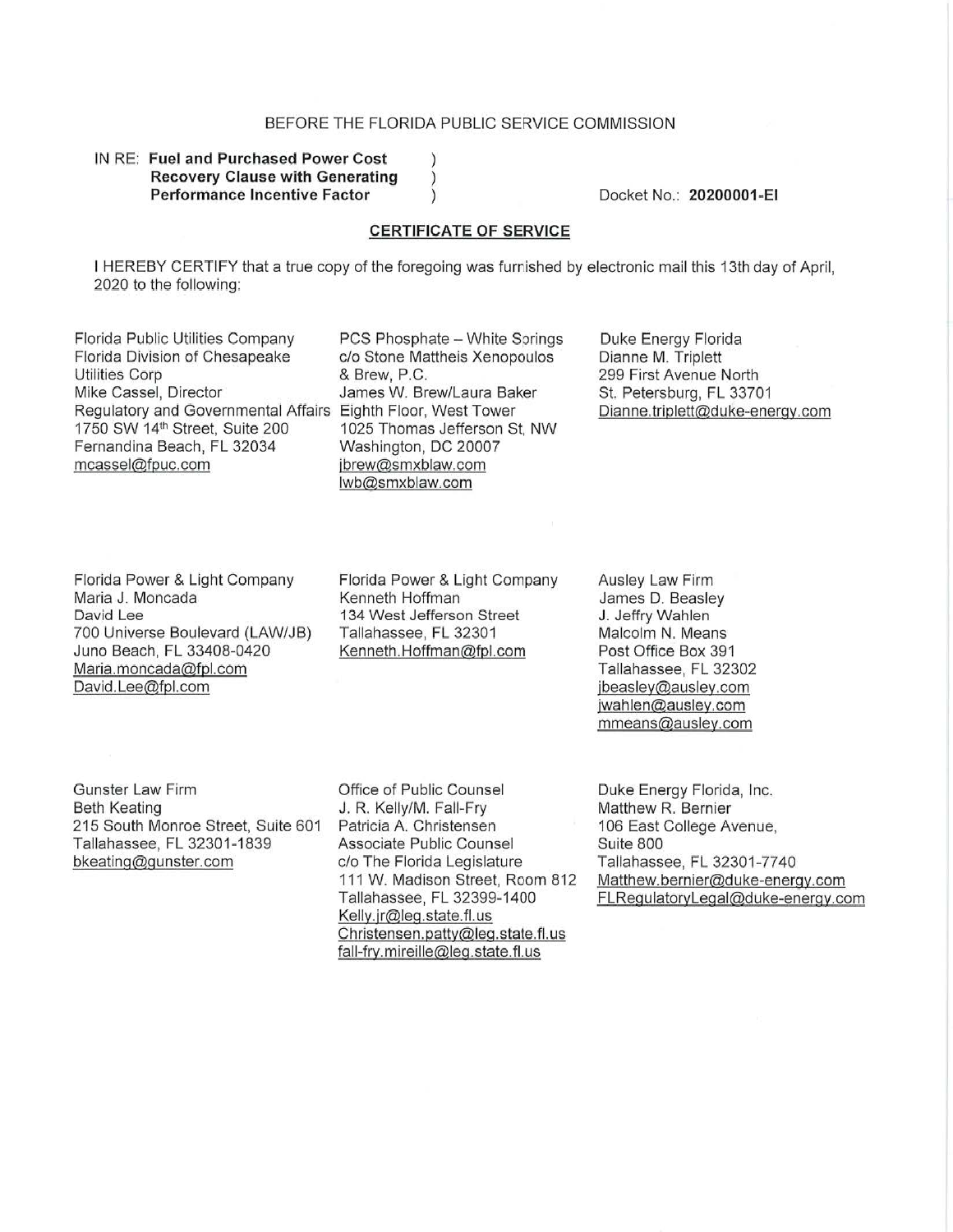## BEFORE THE FLORIDA PUBLIC SERVICE COMMISSION

 $\mathcal{L}$  $\left( \right)$  $\mathcal{C}$ 

### IN RE: **Fuel and Purchased Power Cost Recovery Clause with Generating Performance Incentive Factor**

Docket No.: **20200001-EI** 

#### **CERTIFICATE OF SERVICE**

I HEREBY CERTIFY that a true copy of the foregoing was furnished by electronic mail this 13th day of April, 2020 to the following:

Florida Public Utilities Company Florida Division of Chesapeake Utilities Corp Mike Cassel, Director Regulatory and Governmental Affairs Eighth Floor, West Tower 1750 SW 14<sup>1</sup>n Street, Suite 200 Fernandina Beach, FL 32034 mcassel@fouc.com

PCS Phosphate - White Springs c/o Stone Mattheis Xenopoulos & Brew, P.C. James W. Brew/Laura Baker 1025 Thomas Jefferson St, NW Washington, DC 20007 jbrew@smxblaw.com lwb@smxblaw.com

Duke Energy Florida Dianne M. Triplett 299 First Avenue North St. Petersburg, FL 33701 Dianne.triplett@duke-energy.com

Florida Power & Light Company Maria J. Moncada David Lee 700 Universe Boulevard (LAW/JB) Juno Beach, FL 33408-0420 Maria.moncada@fol.com David.Lee@fpl.com

Florida Power & Light Company Kenneth Hoffman 134 West Jefferson Street Tallahassee, FL 32301 Kenneth.Hoffman@fpl.com

Ausley Law Firm James D. Beasley J. Jeffry Wahlen Malcolm N. Means Post Office Box 391 Tallahassee, FL 32302 ibeasley@ausley.com jwahlen@ausley.com mmeans@ausley.com

Gunster Law Firm Beth Keating 215 South Monroe Street, Suite 601 Tallahassee, FL 32301-1839 bkeating@gunster.com

Office of Public Counsel J. R. Kelly/M. Fall-Fry Patricia A. Christensen Associate Public Counsel c/o The Florida Legislature 111 W. Madison Street, Room 812 Tallahassee, FL 32399-1400 Kelly.jr@leq.state.fl.us Christensen. patty@leg .state. fl. us fall-fry. mireille@leq.state. fl. us

Duke Energy Florida, Inc. Matthew R. Bernier 106 East College Avenue, Suite 800 Tallahassee, FL 32301 -7740 Matthew.bernier@duke-energy.com FLRegulatoryLegal@duke-enerqy.com